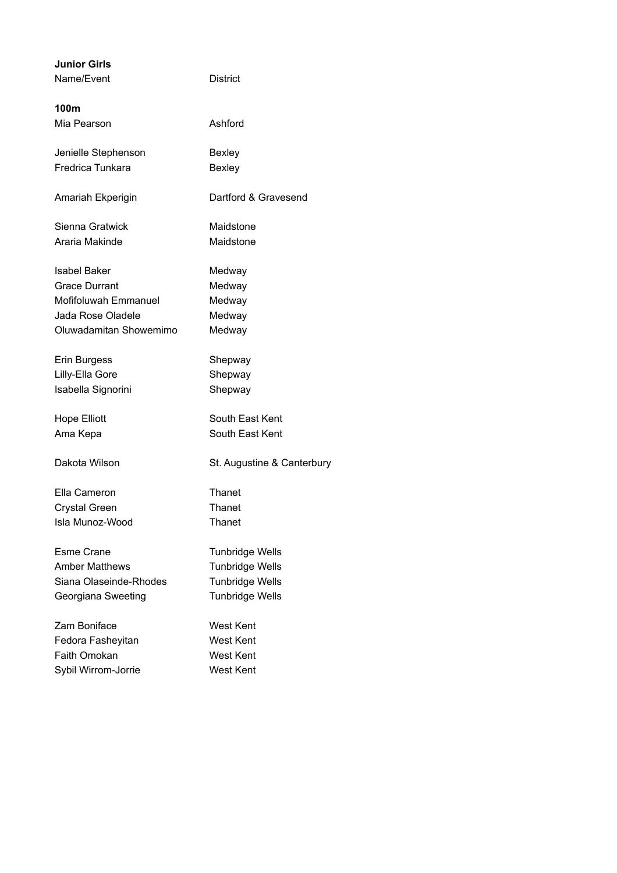| <b>Junior Girls</b>    |                            |
|------------------------|----------------------------|
| Name/Event             | District                   |
| 100m                   |                            |
| Mia Pearson            | Ashford                    |
| Jenielle Stephenson    | <b>Bexley</b>              |
| Fredrica Tunkara       | <b>Bexley</b>              |
| Amariah Ekperigin      | Dartford & Gravesend       |
| Sienna Gratwick        | Maidstone                  |
| Araria Makinde         | Maidstone                  |
| <b>Isabel Baker</b>    | Medway                     |
| <b>Grace Durrant</b>   | Medway                     |
| Mofifoluwah Emmanuel   | Medway                     |
| Jada Rose Oladele      | Medway                     |
| Oluwadamitan Showemimo | Medway                     |
| Erin Burgess           | Shepway                    |
| Lilly-Ella Gore        | Shepway                    |
| Isabella Signorini     | Shepway                    |
| <b>Hope Elliott</b>    | South East Kent            |
| Ama Kepa               | South East Kent            |
| Dakota Wilson          | St. Augustine & Canterbury |
| Ella Cameron           | Thanet                     |
| <b>Crystal Green</b>   | Thanet                     |
| Isla Munoz-Wood        | Thanet                     |
| Esme Crane             | <b>Tunbridge Wells</b>     |
| <b>Amber Matthews</b>  | <b>Tunbridge Wells</b>     |
| Siana Olaseinde-Rhodes | <b>Tunbridge Wells</b>     |
| Georgiana Sweeting     | <b>Tunbridge Wells</b>     |
| Zam Boniface           | <b>West Kent</b>           |
| Fedora Fasheyitan      | West Kent                  |
| Faith Omokan           | West Kent                  |
| Sybil Wirrom-Jorrie    | West Kent                  |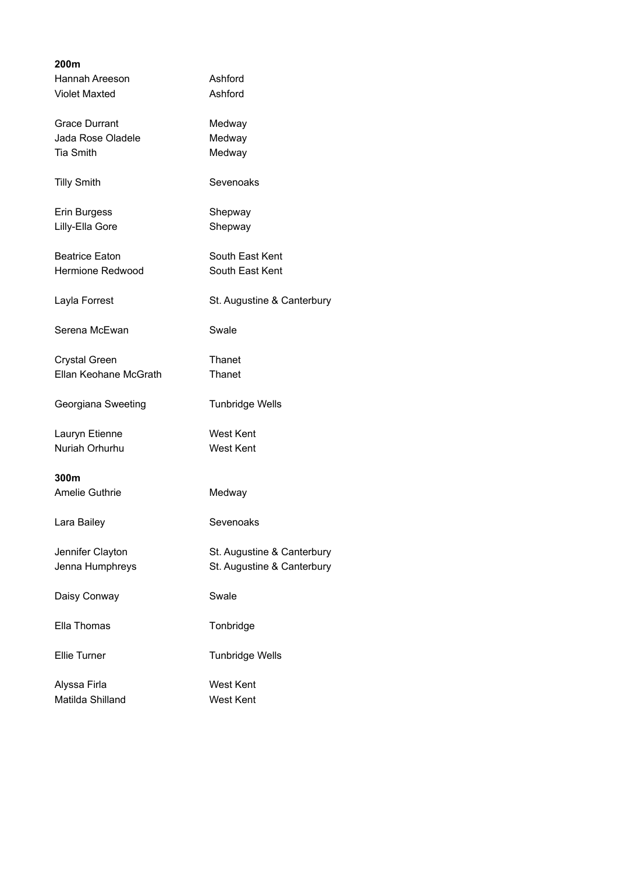| 200m                    |                            |
|-------------------------|----------------------------|
| Hannah Areeson          | Ashford                    |
| <b>Violet Maxted</b>    | Ashford                    |
|                         |                            |
| <b>Grace Durrant</b>    | Medway                     |
| Jada Rose Oladele       | Medway                     |
| <b>Tia Smith</b>        | Medway                     |
| <b>Tilly Smith</b>      | Sevenoaks                  |
| Erin Burgess            | Shepway                    |
| Lilly-Ella Gore         | Shepway                    |
|                         |                            |
| <b>Beatrice Eaton</b>   | South East Kent            |
| <b>Hermione Redwood</b> | South East Kent            |
|                         |                            |
| Layla Forrest           | St. Augustine & Canterbury |
| Serena McEwan           | Swale                      |
| <b>Crystal Green</b>    | Thanet                     |
| Ellan Keohane McGrath   | Thanet                     |
|                         |                            |
| Georgiana Sweeting      | <b>Tunbridge Wells</b>     |
|                         |                            |
| Lauryn Etienne          | <b>West Kent</b>           |
| Nuriah Orhurhu          | <b>West Kent</b>           |
|                         |                            |
| 300m                    |                            |
| <b>Amelie Guthrie</b>   | Medway                     |
|                         |                            |
| Lara Bailey             | Sevenoaks                  |
|                         |                            |
| Jennifer Clayton        | St. Augustine & Canterbury |
| Jenna Humphreys         | St. Augustine & Canterbury |
|                         |                            |
| Daisy Conway            | Swale                      |
|                         |                            |
| Ella Thomas             | Tonbridge                  |
|                         |                            |
| <b>Ellie Turner</b>     | <b>Tunbridge Wells</b>     |
|                         |                            |
| Alyssa Firla            | <b>West Kent</b>           |
| Matilda Shilland        | <b>West Kent</b>           |
|                         |                            |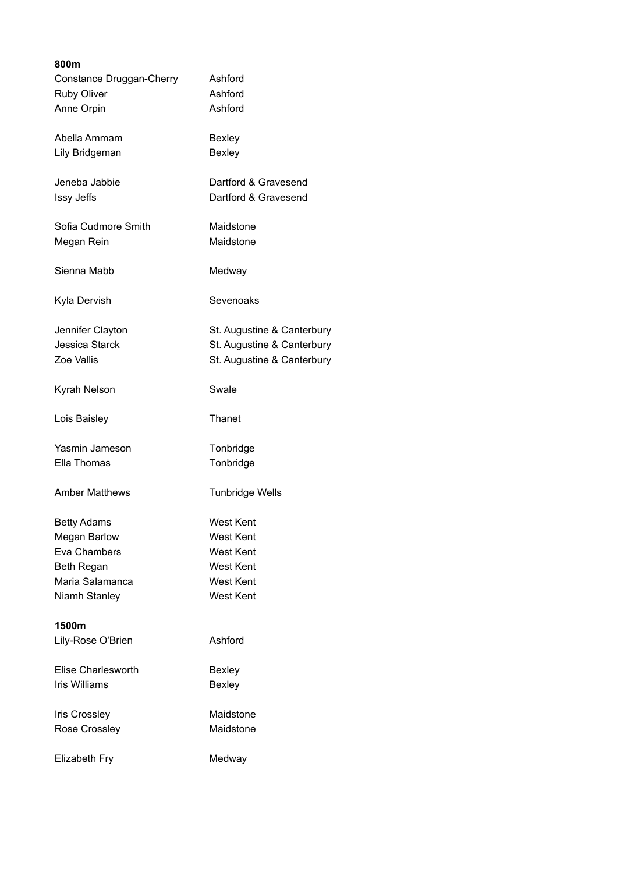| 800m                      |                            |
|---------------------------|----------------------------|
| Constance Druggan-Cherry  | Ashford                    |
| <b>Ruby Oliver</b>        | Ashford                    |
| Anne Orpin                | Ashford                    |
|                           |                            |
| Abella Ammam              | <b>Bexley</b>              |
| Lily Bridgeman            | <b>Bexley</b>              |
|                           |                            |
| Jeneba Jabbie             | Dartford & Gravesend       |
| Issy Jeffs                | Dartford & Gravesend       |
|                           |                            |
| Sofia Cudmore Smith       | Maidstone                  |
| Megan Rein                | Maidstone                  |
|                           |                            |
| Sienna Mabb               | Medway                     |
|                           |                            |
| Kyla Dervish              | Sevenoaks                  |
|                           |                            |
| Jennifer Clayton          | St. Augustine & Canterbury |
| <b>Jessica Starck</b>     | St. Augustine & Canterbury |
| Zoe Vallis                | St. Augustine & Canterbury |
|                           |                            |
| Kyrah Nelson              | Swale                      |
|                           |                            |
| Lois Baisley              | Thanet                     |
|                           |                            |
| Yasmin Jameson            | Tonbridge                  |
| Ella Thomas               | Tonbridge                  |
|                           |                            |
| <b>Amber Matthews</b>     | <b>Tunbridge Wells</b>     |
|                           |                            |
| <b>Betty Adams</b>        | <b>West Kent</b>           |
| <b>Megan Barlow</b>       | <b>West Kent</b>           |
| Eva Chambers              |                            |
|                           | <b>West Kent</b>           |
| Beth Regan                | <b>West Kent</b>           |
| Maria Salamanca           | <b>West Kent</b>           |
| Niamh Stanley             | <b>West Kent</b>           |
|                           |                            |
| 1500m                     |                            |
| Lily-Rose O'Brien         | Ashford                    |
|                           |                            |
| <b>Elise Charlesworth</b> | <b>Bexley</b>              |
| <b>Iris Williams</b>      | Bexley                     |
|                           |                            |
| <b>Iris Crossley</b>      | Maidstone                  |
| Rose Crossley             | Maidstone                  |
|                           |                            |
| Elizabeth Fry             | Medway                     |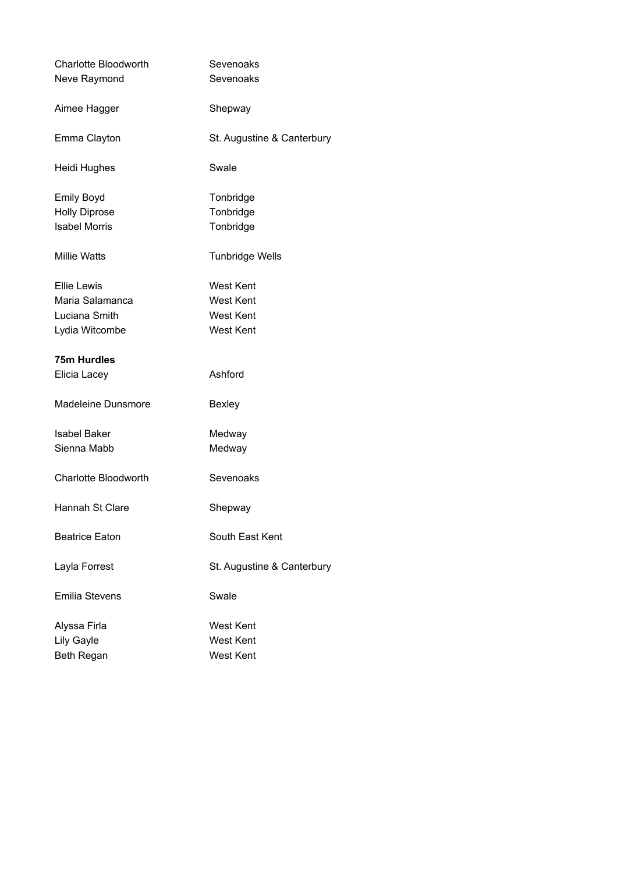| Charlotte Bloodworth<br>Neve Raymond | Sevenoaks<br>Sevenoaks     |
|--------------------------------------|----------------------------|
| Aimee Hagger                         | Shepway                    |
| Emma Clayton                         | St. Augustine & Canterbury |
| Heidi Hughes                         | Swale                      |
| <b>Emily Boyd</b>                    | Tonbridge                  |
| <b>Holly Diprose</b>                 | Tonbridge                  |
| <b>Isabel Morris</b>                 | Tonbridge                  |
| <b>Millie Watts</b>                  | <b>Tunbridge Wells</b>     |
| <b>Ellie Lewis</b>                   | <b>West Kent</b>           |
| Maria Salamanca                      | <b>West Kent</b>           |
| Luciana Smith                        | <b>West Kent</b>           |
| Lydia Witcombe                       | <b>West Kent</b>           |
| <b>75m Hurdles</b>                   |                            |
| Elicia Lacey                         | Ashford                    |
| Madeleine Dunsmore                   | <b>Bexley</b>              |
| <b>Isabel Baker</b>                  | Medway                     |
| Sienna Mabb                          | Medway                     |
| Charlotte Bloodworth                 | Sevenoaks                  |
| Hannah St Clare                      | Shepway                    |
| <b>Beatrice Eaton</b>                | South East Kent            |
| Layla Forrest                        | St. Augustine & Canterbury |
| <b>Emilia Stevens</b>                | Swale                      |
| Alyssa Firla                         | <b>West Kent</b>           |
| Lily Gayle                           | <b>West Kent</b>           |
| Beth Regan                           | <b>West Kent</b>           |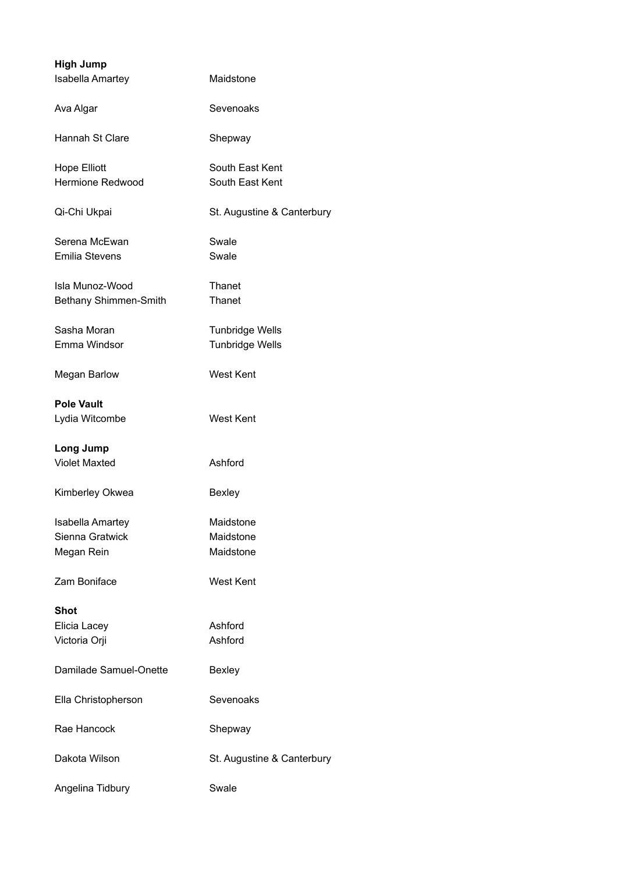| <b>High Jump</b>        |                            |
|-------------------------|----------------------------|
| <b>Isabella Amartey</b> | Maidstone                  |
| Ava Algar               | Sevenoaks                  |
| Hannah St Clare         | Shepway                    |
| <b>Hope Elliott</b>     | South East Kent            |
| Hermione Redwood        | South East Kent            |
| Qi-Chi Ukpai            | St. Augustine & Canterbury |
| Serena McEwan           | Swale                      |
| <b>Emilia Stevens</b>   | Swale                      |
| Isla Munoz-Wood         | Thanet                     |
| Bethany Shimmen-Smith   | Thanet                     |
| Sasha Moran             | <b>Tunbridge Wells</b>     |
| Emma Windsor            | <b>Tunbridge Wells</b>     |
| <b>Megan Barlow</b>     | <b>West Kent</b>           |
| <b>Pole Vault</b>       |                            |
| Lydia Witcombe          | <b>West Kent</b>           |
| <b>Long Jump</b>        |                            |
| <b>Violet Maxted</b>    | Ashford                    |
| Kimberley Okwea         | Bexley                     |
| Isabella Amartey        | Maidstone                  |
| Sienna Gratwick         | Maidstone                  |
| Megan Rein              | Maidstone                  |
| Zam Boniface            | West Kent                  |
| <b>Shot</b>             |                            |
| Elicia Lacey            | Ashford                    |
| Victoria Orji           | Ashford                    |
| Damilade Samuel-Onette  | <b>Bexley</b>              |
| Ella Christopherson     | Sevenoaks                  |
| Rae Hancock             | Shepway                    |
| Dakota Wilson           | St. Augustine & Canterbury |
| Angelina Tidbury        | Swale                      |